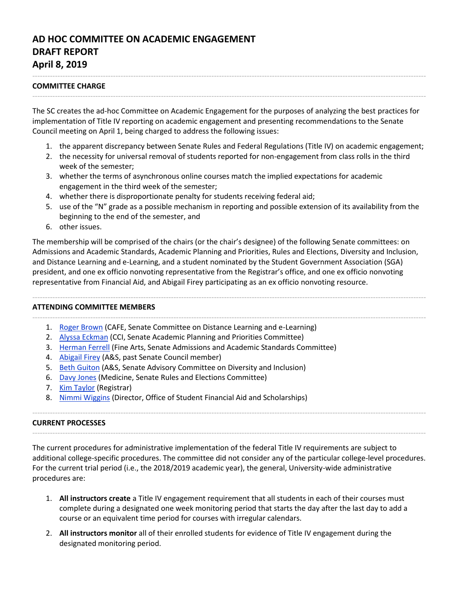# **AD HOC COMMITTEE ON ACADEMIC ENGAGEMENT DRAFT REPORT April 8, 2019**

## **COMMITTEE CHARGE**

The SC creates the ad-hoc Committee on Academic Engagement for the purposes of analyzing the best practices for implementation of Title IV reporting on academic engagement and presenting recommendations to the Senate Council meeting on April 1, being charged to address the following issues:

------------------------------------------------------------------------------------------------------------------------------------------------------------

------------------------------------------------------------------------------------------------------------------------------------------------------------

- 1. the apparent discrepancy between Senate Rules and Federal Regulations (Title IV) on academic engagement;
- 2. the necessity for universal removal of students reported for non-engagement from class rolls in the third week of the semester;
- 3. whether the terms of asynchronous online courses match the implied expectations for academic engagement in the third week of the semester;
- 4. whether there is disproportionate penalty for students receiving federal aid;
- 5. use of the "N" grade as a possible mechanism in reporting and possible extension of its availability from the beginning to the end of the semester, and
- 6. other issues.

The membership will be comprised of the chairs (or the chair's designee) of the following Senate committees: on Admissions and Academic Standards, Academic Planning and Priorities, Rules and Elections, Diversity and Inclusion, and Distance Learning and e-Learning, and a student nominated by the Student Government Association (SGA) president, and one ex officio nonvoting representative from the Registrar's office, and one ex officio nonvoting representative from Financial Aid, and Abigail Firey participating as an ex officio nonvoting resource.

------------------------------------------------------------------------------------------------------------------------------------------------------------

## **ATTENDING COMMITTEE MEMBERS**

- ------------------------------------------------------------------------------------------------------------------------------------------------------------ 1. [Roger Brown](http://www.uky.edu/Ag/AgriculturalEconomics/brown_roger.php) (CAFE, Senate Committee on Distance Learning and e-Learning)
	- 2. [Alyssa Eckman](https://ci.uky.edu/grad/contact/eckman/alyssa) (CCI, Senate Academic Planning and Priorities Committee)
	- 3. [Herman Ferrell](https://finearts.uky.edu/theatre-dance/faculty-staff/herman-d-farrell-iii) (Fine Arts, Senate Admissions and Academic Standards Committee)
	- 4. [Abigail Firey](https://history.as.uky.edu/users/afire2/) (A&S, past Senate Council member)
	- 5. Beth [Guiton](https://chem.as.uky.edu/users/bgu222) (A&S, Senate Advisory Committee on Diversity and Inclusion)
	- 6. [Davy Jones](https://toxicology.med.uky.edu/users/djones) (Medicine, Senate Rules and Elections Committee)
	- 7. [Kim Taylor](https://www.uky.edu/registrar/staff-list) (Registrar)
	- 8. [Nimmi Wiggins](https://www.uky.edu/financialaid/staff-directory) (Director, Office of Student Financial Aid and Scholarships)

#### **CURRENT PROCESSES**

The current procedures for administrative implementation of the federal Title IV requirements are subject to additional college-specific procedures. The committee did not consider any of the particular college-level procedures. For the current trial period (i.e., the 2018/2019 academic year), the general, University-wide administrative procedures are:

------------------------------------------------------------------------------------------------------------------------------------------------------------

------------------------------------------------------------------------------------------------------------------------------------------------------------

- 1. **All instructors create** a Title IV engagement requirement that all students in each of their courses must complete during a designated one week monitoring period that starts the day after the last day to add a course or an equivalent time period for courses with irregular calendars.
- 2. **All instructors monitor** all of their enrolled students for evidence of Title IV engagement during the designated monitoring period.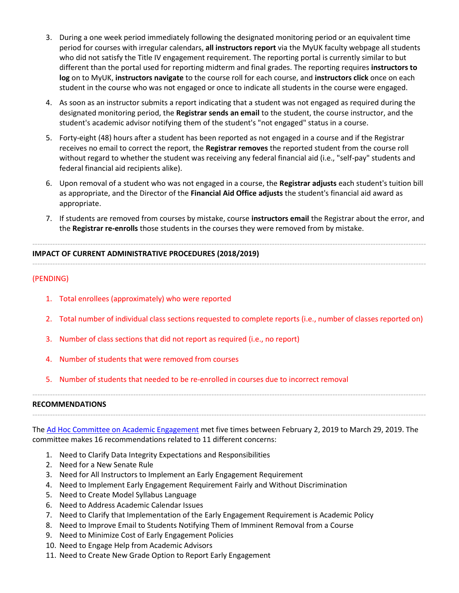- 3. During a one week period immediately following the designated monitoring period or an equivalent time period for courses with irregular calendars, **all instructors report** via the MyUK faculty webpage all students who did not satisfy the Title IV engagement requirement. The reporting portal is currently similar to but different than the portal used for reporting midterm and final grades. The reporting requires **instructors to log** on to MyUK, **instructors navigate** to the course roll for each course, and **instructors click** once on each student in the course who was not engaged or once to indicate all students in the course were engaged.
- 4. As soon as an instructor submits a report indicating that a student was not engaged as required during the designated monitoring period, the **Registrar sends an email** to the student, the course instructor, and the student's academic advisor notifying them of the student's "not engaged" status in a course.
- 5. Forty-eight (48) hours after a student has been reported as not engaged in a course and if the Registrar receives no email to correct the report, the **Registrar removes** the reported student from the course roll without regard to whether the student was receiving any federal financial aid (i.e., "self-pay" students and federal financial aid recipients alike).
- 6. Upon removal of a student who was not engaged in a course, the **Registrar adjusts** each student's tuition bill as appropriate, and the Director of the **Financial Aid Office adjusts** the student's financial aid award as appropriate.
- 7. If students are removed from courses by mistake, course **instructors email** the Registrar about the error, and the **Registrar re-enrolls** those students in the courses they were removed from by mistake.

------------------------------------------------------------------------------------------------------------------------------------------------------------

#### ------------------------------------------------------------------------------------------------------------------------------------------------------------ **IMPACT OF CURRENT ADMINISTRATIVE PROCEDURES (2018/2019)**

## (PENDING)

- 1. Total enrollees (approximately) who were reported
- 2. Total number of individual class sections requested to complete reports (i.e., number of classes reported on)
- 3. Number of class sections that did not report as required (i.e., no report)
- 4. Number of students that were removed from courses
- 5. Number of students that needed to be re-enrolled in courses due to incorrect removal

#### **RECOMMENDATIONS**

The [Ad Hoc Committee on Academic Engagement](https://sites.google.com/a/g.uky.edu/titleiv/home) met five times between February 2, 2019 to March 29, 2019. The committee makes 16 recommendations related to 11 different concerns:

------------------------------------------------------------------------------------------------------------------------------------------------------------

------------------------------------------------------------------------------------------------------------------------------------------------------------

- 1. Need to Clarify Data Integrity Expectations and Responsibilities
- 2. Need for a New Senate Rule
- 3. Need for All Instructors to Implement an Early Engagement Requirement
- 4. Need to Implement Early Engagement Requirement Fairly and Without Discrimination
- 5. Need to Create Model Syllabus Language
- 6. Need to Address Academic Calendar Issues
- 7. Need to Clarify that Implementation of the Early Engagement Requirement is Academic Policy
- 8. Need to Improve Email to Students Notifying Them of Imminent Removal from a Course
- 9. Need to Minimize Cost of Early Engagement Policies
- 10. Need to Engage Help from Academic Advisors
- 11. Need to Create New Grade Option to Report Early Engagement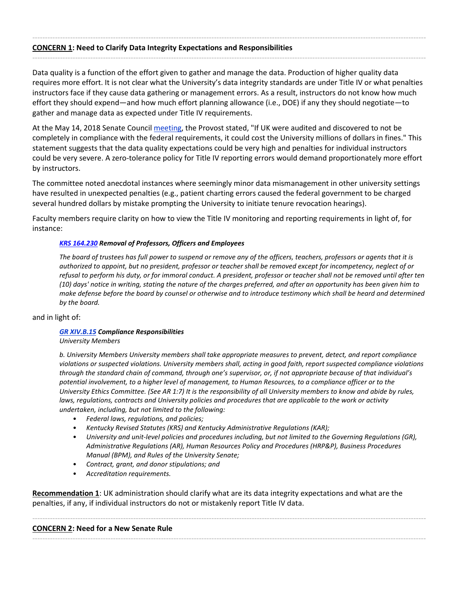#### ------------------------------------------------------------------------------------------------------------------------------------------------------------ **CONCERN 1: Need to Clarify Data Integrity Expectations and Responsibilities**

Data quality is a function of the effort given to gather and manage the data. Production of higher quality data requires more effort. It is not clear what the University's data integrity standards are under Title IV or what penalties instructors face if they cause data gathering or management errors. As a result, instructors do not know how much effort they should expend—and how much effort planning allowance (i.e., DOE) if any they should negotiate—to gather and manage data as expected under Title IV requirements.

------------------------------------------------------------------------------------------------------------------------------------------------------------

At the May 14, 2018 Senate Council [meeting,](https://www.uky.edu/universitysenate/council/2018-05-14) the Provost stated, "If UK were audited and discovered to not be completely in compliance with the federal requirements, it could cost the University millions of dollars in fines." This statement suggests that the data quality expectations could be very high and penalties for individual instructors could be very severe. A zero-tolerance policy for Title IV reporting errors would demand proportionately more effort by instructors.

The committee noted anecdotal instances where seemingly minor data mismanagement in other university settings have resulted in unexpected penalties (e.g., patient charting errors caused the federal government to be charged several hundred dollars by mistake prompting the University to initiate tenure revocation hearings).

Faculty members require clarity on how to view the Title IV monitoring and reporting requirements in light of, for instance:

## *[KRS 164.230](https://apps.legislature.ky.gov/law/statutes/statute.aspx?id=4223) Removal of Professors, Officers and Employees*

*The board of trustees has full power to suspend or remove any of the officers, teachers, professors or agents that it is authorized to appoint, but no president, professor or teacher shall be removed except for incompetency, neglect of or refusal to perform his duty, or for immoral conduct. A president, professor or teacher shall not be removed until after ten (10) days' notice in writing, stating the nature of the charges preferred, and after an opportunity has been given him to make defense before the board by counsel or otherwise and to introduce testimony which shall be heard and determined by the board.*

#### and in light of:

## *[GR XIV.B.15](http://www.uky.edu/regs/sites/www.uky.edu.regs/files/files/gr/gr14.pdf) Compliance Responsibilities*

*University Members*

*b. University Members University members shall take appropriate measures to prevent, detect, and report compliance violations or suspected violations. University members shall, acting in good faith, report suspected compliance violations through the standard chain of command, through one's supervisor, or, if not appropriate because of that individual's potential involvement, to a higher level of management, to Human Resources, to a compliance officer or to the University Ethics Committee. (See AR 1:7) It is the responsibility of all University members to know and abide by rules, laws, regulations, contracts and University policies and procedures that are applicable to the work or activity undertaken, including, but not limited to the following:*

- *Federal laws, regulations, and policies;*
- *Kentucky Revised Statutes (KRS) and Kentucky Administrative Regulations (KAR);*
- *University and unit-level policies and procedures including, but not limited to the Governing Regulations (GR), Administrative Regulations (AR), Human Resources Policy and Procedures (HRP&P), Business Procedures Manual (BPM), and Rules of the University Senate;*
- *Contract, grant, and donor stipulations; and*
- *Accreditation requirements.*

**Recommendation 1**: UK administration should clarify what are its data integrity expectations and what are the penalties, if any, if individual instructors do not or mistakenly report Title IV data.

------------------------------------------------------------------------------------------------------------------------------------------------------------

------------------------------------------------------------------------------------------------------------------------------------------------------------

## **CONCERN 2: Need for a New Senate Rule**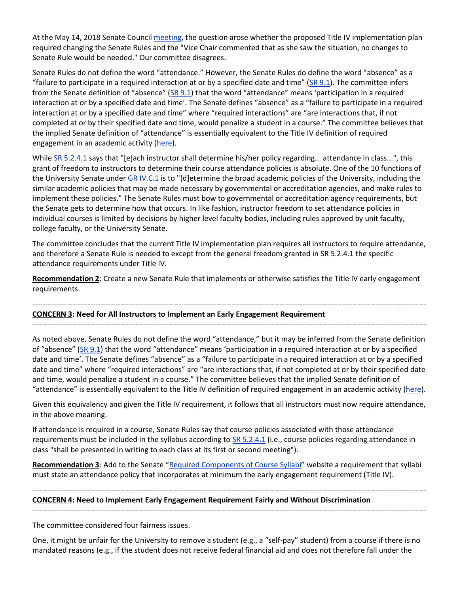At the May 14, 2018 Senate Council [meeting,](https://www.uky.edu/universitysenate/council/2018-05-14) the question arose whether the proposed Title IV implementation plan required changing the Senate Rules and the "Vice Chair commented that as she saw the situation, no changes to Senate Rule would be needed." Our committee disagrees.

Senate Rules do not define the word "attendance." However, the Senate Rules do define the word "absence" as a "failure to participate in a required interaction at or by a specified date and time" ( $\text{SR } 9.1$ ). The committee infers from the Senate definition of "absence"  $(SR 9.1)$  $(SR 9.1)$  $(SR 9.1)$  that the word "attendance" means 'participation in a required interaction at or by a specified date and time'. The Senate defines "absence" as a "failure to participate in a required interaction at or by a specified date and time" where "required interactions" are "are interactions that, if not completed at or by their specified date and time, would penalize a student in a course." The committee believes that the implied Senate definition of "attendance" is essentially equivalent to the Title IV definition of required engagement in an academic activity [\(here\)](https://drive.google.com/file/d/10GV7JjaseIZQFNVSUAplxbUcG8kldXoF/view?usp=sharing).

While [SR 5.2.4.1](https://drive.google.com/file/d/17bD4JARoUv47pnqhJBZFmCnNTaUoQV2Q/view?usp=sharing) says that "[e]ach instructor shall determine his/her policy regarding... attendance in class...", this grant of freedom to instructors to determine their course attendance policies is absolute. One of the 10 functions of the University Senate unde[r GR IV.C.1](https://www.uky.edu/regs/sites/www.uky.edu.regs/files/files/gr/gr4.pdf) is to "[d]etermine the broad academic policies of the University, including the similar academic policies that may be made necessary by governmental or accreditation agencies, and make rules to implement these policies." The Senate Rules must bow to governmental or accreditation agency requirements, but the Senate gets to determine how that occurs. In like fashion, instructor freedom to set attendance policies in individual courses is limited by decisions by higher level faculty bodies, including rules approved by unit faculty, college faculty, or the University Senate.

The committee concludes that the current Title IV implementation plan requires all instructors to require attendance, and therefore a Senate Rule is needed to except from the general freedom granted in SR 5.2.4.1 the specific attendance requirements under Title IV.

**Recommendation 2**: Create a new Senate Rule that implements or otherwise satisfies the Title IV early engagement requirements.

------------------------------------------------------------------------------------------------------------------------------------------------------------

------------------------------------------------------------------------------------------------------------------------------------------------------------

**CONCERN 3: Need for All Instructors to Implement an Early Engagement Requirement**

As noted above, Senate Rules do not define the word "attendance," but it may be inferred from the Senate definition of "absence" ([SR 9.1\)](https://drive.google.com/file/d/1U6PdWB5ea47d4wtXN9E3t_MI2G5Zhffj/view?usp=sharing) that the word "attendance" means 'participation in a required interaction at or by a specified date and time'. The Senate defines "absence" as a "failure to participate in a required interaction at or by a specified date and time" where "required interactions" are "are interactions that, if not completed at or by their specified date and time, would penalize a student in a course." The committee believes that the implied Senate definition of "attendance" is essentially equivalent to the Title IV definition of required engagement in an academic activity [\(here\)](https://drive.google.com/file/d/10GV7JjaseIZQFNVSUAplxbUcG8kldXoF/view?usp=sharing).

Given this equivalency and given the Title IV requirement, it follows that all instructors must now require attendance, in the above meaning.

If attendance is required in a course, Senate Rules say that course policies associated with those attendance requirements must be included in the syllabus according to  $SR$  5.2.4.1 (i.e., course policies regarding attendance in class "shall be presented in writing to each class at its first or second meeting").

Recommendation 3: Add to the Senate "[Required Components of Course Syllabi](https://www.uky.edu/universitysenate/required-components-course-syllabi)" website a requirement that syllabi must state an attendance policy that incorporates at minimum the early engagement requirement (Title IV).

------------------------------------------------------------------------------------------------------------------------------------------------------------ **CONCERN 4: Need to Implement Early Engagement Requirement Fairly and Without Discrimination**

The committee considered four fairness issues.

One, it might be unfair for the University to remove a student (e.g., a "self-pay" student) from a course if there is no mandated reasons (e.g., if the student does not receive federal financial aid and does not therefore fall under the

------------------------------------------------------------------------------------------------------------------------------------------------------------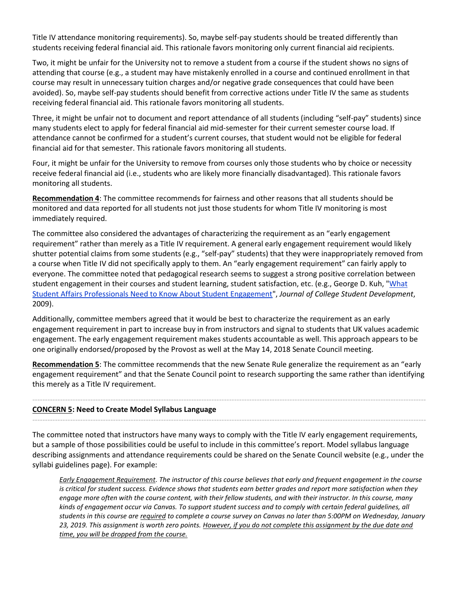Title IV attendance monitoring requirements). So, maybe self-pay students should be treated differently than students receiving federal financial aid. This rationale favors monitoring only current financial aid recipients.

Two, it might be unfair for the University not to remove a student from a course if the student shows no signs of attending that course (e.g., a student may have mistakenly enrolled in a course and continued enrollment in that course may result in unnecessary tuition charges and/or negative grade consequences that could have been avoided). So, maybe self-pay students should benefit from corrective actions under Title IV the same as students receiving federal financial aid. This rationale favors monitoring all students.

Three, it might be unfair not to document and report attendance of all students (including "self-pay" students) since many students elect to apply for federal financial aid mid-semester for their current semester course load. If attendance cannot be confirmed for a student's current courses, that student would not be eligible for federal financial aid for that semester. This rationale favors monitoring all students.

Four, it might be unfair for the University to remove from courses only those students who by choice or necessity receive federal financial aid (i.e., students who are likely more financially disadvantaged). This rationale favors monitoring all students.

**Recommendation 4**: The committee recommends for fairness and other reasons that all students should be monitored and data reported for all students not just those students for whom Title IV monitoring is most immediately required.

The committee also considered the advantages of characterizing the requirement as an "early engagement requirement" rather than merely as a Title IV requirement. A general early engagement requirement would likely shutter potential claims from some students (e.g., "self-pay" students) that they were inappropriately removed from a course when Title IV did not specifically apply to them. An "early engagement requirement" can fairly apply to everyone. The committee noted that pedagogical research seems to suggest a strong positive correlation between student engagement in their courses and student learning, student satisfaction, etc. (e.g., George D. Kuh, "What [Student Affairs Professionals Need to Know About Student Engagement"](https://muse.jhu.edu/article/364960/summary), *Journal of College Student Development*, 2009).

Additionally, committee members agreed that it would be best to characterize the requirement as an early engagement requirement in part to increase buy in from instructors and signal to students that UK values academic engagement. The early engagement requirement makes students accountable as well. This approach appears to be one originally endorsed/proposed by the Provost as well at the May 14, 2018 Senate Council meeting.

**Recommendation 5**: The committee recommends that the new Senate Rule generalize the requirement as an "early engagement requirement" and that the Senate Council point to research supporting the same rather than identifying this merely as a Title IV requirement.

------------------------------------------------------------------------------------------------------------------------------------------------------------

------------------------------------------------------------------------------------------------------------------------------------------------------------

## **CONCERN 5: Need to Create Model Syllabus Language**

The committee noted that instructors have many ways to comply with the Title IV early engagement requirements, but a sample of those possibilities could be useful to include in this committee's report. Model syllabus language describing assignments and attendance requirements could be shared on the Senate Council website (e.g., under the syllabi guidelines page). For example:

*Early Engagement Requirement. The instructor of this course believes that early and frequent engagement in the course is critical for student success. Evidence shows that students earn better grades and report more satisfaction when they engage more often with the course content, with their fellow students, and with their instructor. In this course, many kinds of engagement occur via Canvas. To support student success and to comply with certain federal guidelines, all students in this course are required to complete a course survey on Canvas no later than 5:00PM on Wednesday, January 23, 2019. This assignment is worth zero points. However, if you do not complete this assignment by the due date and time, you will be dropped from the course.*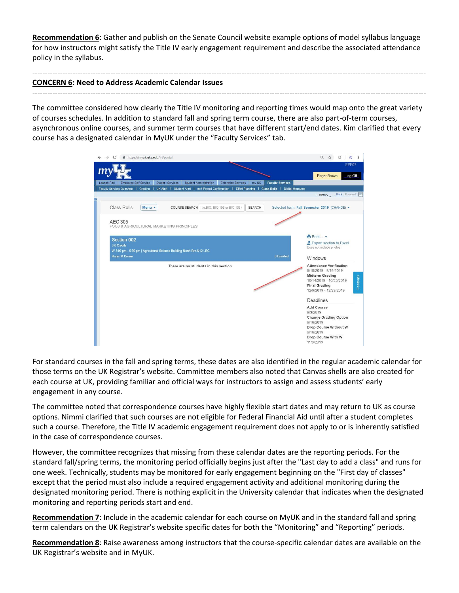**Recommendation 6**: Gather and publish on the Senate Council website example options of model syllabus language for how instructors might satisfy the Title IV early engagement requirement and describe the associated attendance policy in the syllabus.

------------------------------------------------------------------------------------------------------------------------------------------------------------

------------------------------------------------------------------------------------------------------------------------------------------------------------

## **CONCERN 6: Need to Address Academic Calendar Issues**

The committee considered how clearly the Title IV monitoring and reporting times would map onto the great variety of courses schedules. In addition to standard fall and spring term course, there are also part-of-term courses, asynchronous online courses, and summer term courses that have different start/end dates. Kim clarified that every course has a designated calendar in MyUK under the "Faculty Services" tab.

| Roger Brown<br><b>Faculty Services</b><br><b>Employee Self Service</b><br><b>Student Services</b><br><b>Student Administration</b><br><b>Enterprise Services</b><br>my UK<br>Faculty Services Overview   Grading   UK Alert   Student Alert   ecrt Payroll Confirmation   Effort Planning   Class Rolls   Digital Measures<br>I History<br>Class Rolls<br>Menu -<br>COURSE SEARCH i.e.BIO, BIO 103 or BIO 103<br><b>SEARCH</b><br>Selected term: Fall Semester 2019 (CHANGE) -<br>AEC 305<br>FOOD & AGRICULTURAL MARKETING PRINCIPLES<br>$Print -$<br>Section 002<br>Export section to Excel<br>3.0 Credits<br>Does not include photos<br>W 3:00 pm - 5:30 pm   Agricultural Science Building North Rm.N12 LEC<br>Roger M Brown<br>0 Enrolled<br>Windows<br><b>Attendance Verification</b><br>There are no students in this section<br>9/10/2019 - 9/16/2019<br><b>Midterm Grading</b><br>10/14/2019 - 10/25/2019<br><b>Final Grading</b><br>12/9/2019 - 12/23/2019<br>Deadlines<br>Add Course<br>9/3/2019<br><b>Change Grading Option</b><br>9/16/2019<br>Drop Course Without W<br>9/16/2019<br>Drop Course With W | https://myuk.uky.edu/irj/portal<br>C |  | $\odot$<br>rb<br>- 2<br>Ŷ |
|---------------------------------------------------------------------------------------------------------------------------------------------------------------------------------------------------------------------------------------------------------------------------------------------------------------------------------------------------------------------------------------------------------------------------------------------------------------------------------------------------------------------------------------------------------------------------------------------------------------------------------------------------------------------------------------------------------------------------------------------------------------------------------------------------------------------------------------------------------------------------------------------------------------------------------------------------------------------------------------------------------------------------------------------------------------------------------------------------------------------|--------------------------------------|--|---------------------------|
|                                                                                                                                                                                                                                                                                                                                                                                                                                                                                                                                                                                                                                                                                                                                                                                                                                                                                                                                                                                                                                                                                                                     |                                      |  | EPP07                     |
|                                                                                                                                                                                                                                                                                                                                                                                                                                                                                                                                                                                                                                                                                                                                                                                                                                                                                                                                                                                                                                                                                                                     |                                      |  | Log Off                   |
|                                                                                                                                                                                                                                                                                                                                                                                                                                                                                                                                                                                                                                                                                                                                                                                                                                                                                                                                                                                                                                                                                                                     | Launch Pad                           |  |                           |
|                                                                                                                                                                                                                                                                                                                                                                                                                                                                                                                                                                                                                                                                                                                                                                                                                                                                                                                                                                                                                                                                                                                     |                                      |  | Back Forward E            |
|                                                                                                                                                                                                                                                                                                                                                                                                                                                                                                                                                                                                                                                                                                                                                                                                                                                                                                                                                                                                                                                                                                                     |                                      |  |                           |
|                                                                                                                                                                                                                                                                                                                                                                                                                                                                                                                                                                                                                                                                                                                                                                                                                                                                                                                                                                                                                                                                                                                     |                                      |  |                           |
|                                                                                                                                                                                                                                                                                                                                                                                                                                                                                                                                                                                                                                                                                                                                                                                                                                                                                                                                                                                                                                                                                                                     |                                      |  |                           |
|                                                                                                                                                                                                                                                                                                                                                                                                                                                                                                                                                                                                                                                                                                                                                                                                                                                                                                                                                                                                                                                                                                                     |                                      |  |                           |
|                                                                                                                                                                                                                                                                                                                                                                                                                                                                                                                                                                                                                                                                                                                                                                                                                                                                                                                                                                                                                                                                                                                     |                                      |  |                           |
|                                                                                                                                                                                                                                                                                                                                                                                                                                                                                                                                                                                                                                                                                                                                                                                                                                                                                                                                                                                                                                                                                                                     |                                      |  |                           |
|                                                                                                                                                                                                                                                                                                                                                                                                                                                                                                                                                                                                                                                                                                                                                                                                                                                                                                                                                                                                                                                                                                                     |                                      |  |                           |
|                                                                                                                                                                                                                                                                                                                                                                                                                                                                                                                                                                                                                                                                                                                                                                                                                                                                                                                                                                                                                                                                                                                     |                                      |  |                           |
|                                                                                                                                                                                                                                                                                                                                                                                                                                                                                                                                                                                                                                                                                                                                                                                                                                                                                                                                                                                                                                                                                                                     |                                      |  |                           |
|                                                                                                                                                                                                                                                                                                                                                                                                                                                                                                                                                                                                                                                                                                                                                                                                                                                                                                                                                                                                                                                                                                                     |                                      |  |                           |
|                                                                                                                                                                                                                                                                                                                                                                                                                                                                                                                                                                                                                                                                                                                                                                                                                                                                                                                                                                                                                                                                                                                     |                                      |  |                           |
|                                                                                                                                                                                                                                                                                                                                                                                                                                                                                                                                                                                                                                                                                                                                                                                                                                                                                                                                                                                                                                                                                                                     |                                      |  |                           |
|                                                                                                                                                                                                                                                                                                                                                                                                                                                                                                                                                                                                                                                                                                                                                                                                                                                                                                                                                                                                                                                                                                                     |                                      |  |                           |
|                                                                                                                                                                                                                                                                                                                                                                                                                                                                                                                                                                                                                                                                                                                                                                                                                                                                                                                                                                                                                                                                                                                     |                                      |  |                           |
|                                                                                                                                                                                                                                                                                                                                                                                                                                                                                                                                                                                                                                                                                                                                                                                                                                                                                                                                                                                                                                                                                                                     |                                      |  |                           |
|                                                                                                                                                                                                                                                                                                                                                                                                                                                                                                                                                                                                                                                                                                                                                                                                                                                                                                                                                                                                                                                                                                                     |                                      |  |                           |
|                                                                                                                                                                                                                                                                                                                                                                                                                                                                                                                                                                                                                                                                                                                                                                                                                                                                                                                                                                                                                                                                                                                     |                                      |  |                           |
|                                                                                                                                                                                                                                                                                                                                                                                                                                                                                                                                                                                                                                                                                                                                                                                                                                                                                                                                                                                                                                                                                                                     |                                      |  |                           |
|                                                                                                                                                                                                                                                                                                                                                                                                                                                                                                                                                                                                                                                                                                                                                                                                                                                                                                                                                                                                                                                                                                                     |                                      |  |                           |
|                                                                                                                                                                                                                                                                                                                                                                                                                                                                                                                                                                                                                                                                                                                                                                                                                                                                                                                                                                                                                                                                                                                     |                                      |  |                           |
|                                                                                                                                                                                                                                                                                                                                                                                                                                                                                                                                                                                                                                                                                                                                                                                                                                                                                                                                                                                                                                                                                                                     |                                      |  | 11/6/2019                 |

For standard courses in the fall and spring terms, these dates are also identified in the regular academic calendar for those terms on the UK Registrar's website. Committee members also noted that Canvas shells are also created for each course at UK, providing familiar and official ways for instructors to assign and assess students' early engagement in any course.

The committee noted that correspondence courses have highly flexible start dates and may return to UK as course options. Nimmi clarified that such courses are not eligible for Federal Financial Aid until after a student completes such a course. Therefore, the Title IV academic engagement requirement does not apply to or is inherently satisfied in the case of correspondence courses.

However, the committee recognizes that missing from these calendar dates are the reporting periods. For the standard fall/spring terms, the monitoring period officially begins just after the "Last day to add a class" and runs for one week. Technically, students may be monitored for early engagement beginning on the "First day of classes" except that the period must also include a required engagement activity and additional monitoring during the designated monitoring period. There is nothing explicit in the University calendar that indicates when the designated monitoring and reporting periods start and end.

**Recommendation 7**: Include in the academic calendar for each course on MyUK and in the standard fall and spring term calendars on the UK Registrar's website specific dates for both the "Monitoring" and "Reporting" periods.

**Recommendation 8**: Raise awareness among instructors that the course-specific calendar dates are available on the UK Registrar's website and in MyUK.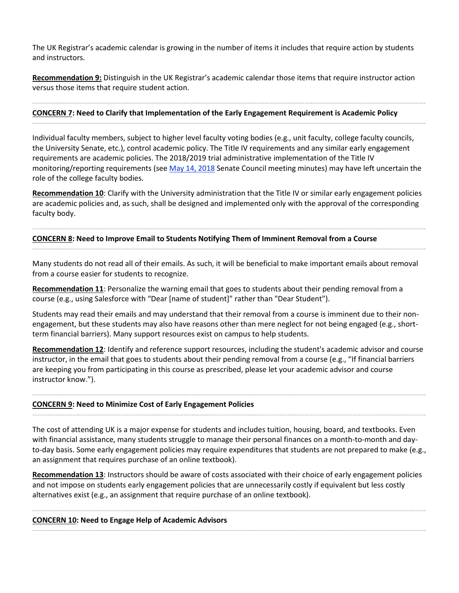The UK Registrar's academic calendar is growing in the number of items it includes that require action by students and instructors.

**Recommendation 9:** Distinguish in the UK Registrar's academic calendar those items that require instructor action versus those items that require student action.

## ------------------------------------------------------------------------------------------------------------------------------------------------------------ **CONCERN 7: Need to Clarify that Implementation of the Early Engagement Requirement is Academic Policy**

Individual faculty members, subject to higher level faculty voting bodies (e.g., unit faculty, college faculty councils, the University Senate, etc.), control academic policy. The Title IV requirements and any similar early engagement requirements are academic policies. The 2018/2019 trial administrative implementation of the Title IV monitoring/reporting requirements (see [May 14, 2018](https://www.uky.edu/universitysenate/council/2018-05-14) Senate Council meeting minutes) may have left uncertain the role of the college faculty bodies.

------------------------------------------------------------------------------------------------------------------------------------------------------------

**Recommendation 10**: Clarify with the University administration that the Title IV or similar early engagement policies are academic policies and, as such, shall be designed and implemented only with the approval of the corresponding faculty body.

------------------------------------------------------------------------------------------------------------------------------------------------------------

------------------------------------------------------------------------------------------------------------------------------------------------------------

## **CONCERN 8: Need to Improve Email to Students Notifying Them of Imminent Removal from a Course**

Many students do not read all of their emails. As such, it will be beneficial to make important emails about removal from a course easier for students to recognize.

**Recommendation 11**: Personalize the warning email that goes to students about their pending removal from a course (e.g., using Salesforce with "Dear [name of student]" rather than "Dear Student").

Students may read their emails and may understand that their removal from a course is imminent due to their nonengagement, but these students may also have reasons other than mere neglect for not being engaged (e.g., shortterm financial barriers). Many support resources exist on campus to help students.

**Recommendation 12**: Identify and reference support resources, including the student's academic advisor and course instructor, in the email that goes to students about their pending removal from a course (e.g., "If financial barriers are keeping you from participating in this course as prescribed, please let your academic advisor and course instructor know.").

------------------------------------------------------------------------------------------------------------------------------------------------------------

------------------------------------------------------------------------------------------------------------------------------------------------------------

## **CONCERN 9: Need to Minimize Cost of Early Engagement Policies**

The cost of attending UK is a major expense for students and includes tuition, housing, board, and textbooks. Even with financial assistance, many students struggle to manage their personal finances on a month-to-month and dayto-day basis. Some early engagement policies may require expenditures that students are not prepared to make (e.g., an assignment that requires purchase of an online textbook).

**Recommendation 13**: Instructors should be aware of costs associated with their choice of early engagement policies and not impose on students early engagement policies that are unnecessarily costly if equivalent but less costly alternatives exist (e.g., an assignment that require purchase of an online textbook).

------------------------------------------------------------------------------------------------------------------------------------------------------------

------------------------------------------------------------------------------------------------------------------------------------------------------------

**CONCERN 10: Need to Engage Help of Academic Advisors**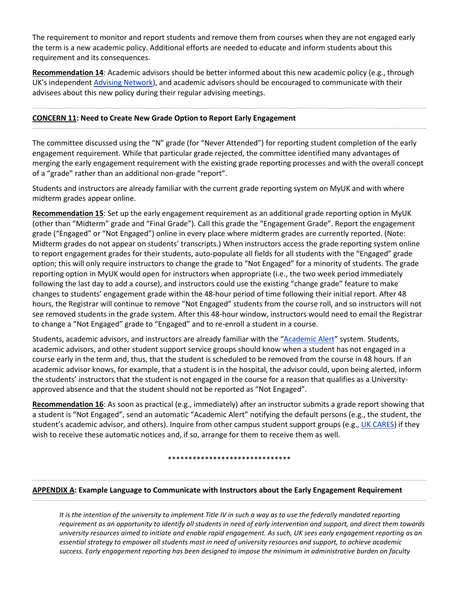The requirement to monitor and report students and remove them from courses when they are not engaged early the term is a new academic policy. Additional efforts are needed to educate and inform students about this requirement and its consequences.

**Recommendation 14**: Academic advisors should be better informed about this new academic policy (e.g., through UK's independent [Advising Network\)](https://www.uky.edu/advisors/node/2061), and academic advisors should be encouraged to communicate with their advisees about this new policy during their regular advising meetings.

------------------------------------------------------------------------------------------------------------------------------------------------------------

------------------------------------------------------------------------------------------------------------------------------------------------------------

## **CONCERN 11: Need to Create New Grade Option to Report Early Engagement**

The committee discussed using the "N" grade (for "Never Attended") for reporting student completion of the early engagement requirement. While that particular grade rejected, the committee identified many advantages of merging the early engagement requirement with the existing grade reporting processes and with the overall concept of a "grade" rather than an additional non-grade "report".

Students and instructors are already familiar with the current grade reporting system on MyUK and with where midterm grades appear online.

**Recommendation 15**: Set up the early engagement requirement as an additional grade reporting option in MyUK (other than "Midterm" grade and "Final Grade"). Call this grade the "Engagement Grade". Report the engagement grade ("Engaged" or "Not Engaged") online in every place where midterm grades are currently reported. (Note: Midterm grades do not appear on students' transcripts.) When instructors access the grade reporting system online to report engagement grades for their students, auto-populate all fields for all students with the "Engaged" grade option; this will only require instructors to change the grade to "Not Engaged" for a minority of students. The grade reporting option in MyUK would open for instructors when appropriate (i.e., the two week period immediately following the last day to add a course), and instructors could use the existing "change grade" feature to make changes to students' engagement grade within the 48-hour period of time following their initial report. After 48 hours, the Registrar will continue to remove "Not Engaged" students from the course roll, and so instructors will not see removed students in the grade system. After this 48-hour window, instructors would need to email the Registrar to change a "Not Engaged" grade to "Engaged" and to re-enroll a student in a course.

Students, academic advisors, and instructors are already familiar with the "[Academic Alert](https://www.uky.edu/studentacademicsupport/ACT-alert)" system. Students, academic advisors, and other student support service groups should know when a student has not engaged in a course early in the term and, thus, that the student is scheduled to be removed from the course in 48 hours. If an academic advisor knows, for example, that a student is in the hospital, the advisor could, upon being alerted, inform the students' instructors that the student is not engaged in the course for a reason that qualifies as a Universityapproved absence and that the student should not be reported as "Not Engaged".

**Recommendation 16**: As soon as practical (e.g., immediately) after an instructor submits a grade report showing that a student is "Not Engaged", send an automatic "Academic Alert" notifying the default persons (e.g., the student, the student's academic advisor, and others). Inquire from other campus student support groups (e.g., [UK CARES\)](http://www.uky.edu/cares/) if they wish to receive these automatic notices and, if so, arrange for them to receive them as well.

\*\*\*\*\*\*\*\*\*\*\*\*\*\*\*\*\*\*\*\*\*\*\*\*\*\*\*\*\*\*

------------------------------------------------------------------------------------------------------------------------------------------------------------

------------------------------------------------------------------------------------------------------------------------------------------------------------

**APPENDIX A: Example Language to Communicate with Instructors about the Early Engagement Requirement**

*It is the intention of the university to implement Title IV in such a way as to use the federally mandated reporting requirement as an opportunity to identify all students in need of early intervention and support, and direct them towards university resources aimed to initiate and enable rapid engagement. As such, UK sees early engagement reporting as an essential strategy to empower all students most in need of university resources and support, to achieve academic success. Early engagement reporting has been designed to impose the minimum in administrative burden on faculty*